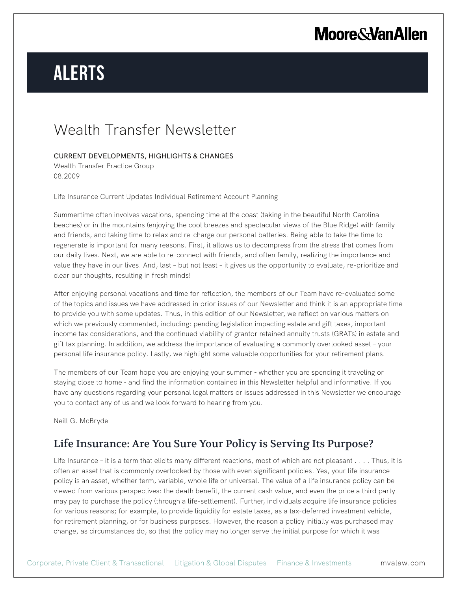# **Moore & Van Allen**

# **Alerts**

# Wealth Transfer Newsletter

### CURRENT DEVELOPMENTS, HIGHLIGHTS & CHANGES

Wealth Transfer Practice Group 08.2009

Life Insurance Current Updates Individual Retirement Account Planning

Summertime often involves vacations, spending time at the coast (taking in the beautiful North Carolina beaches) or in the mountains (enjoying the cool breezes and spectacular views of the Blue Ridge) with family and friends, and taking time to relax and re-charge our personal batteries. Being able to take the time to regenerate is important for many reasons. First, it allows us to decompress from the stress that comes from our daily lives. Next, we are able to re-connect with friends, and often family, realizing the importance and value they have in our lives. And, last – but not least – it gives us the opportunity to evaluate, re-prioritize and clear our thoughts, resulting in fresh minds!

After enjoying personal vacations and time for reflection, the members of our Team have re-evaluated some of the topics and issues we have addressed in prior issues of our Newsletter and think it is an appropriate time to provide you with some updates. Thus, in this edition of our Newsletter, we reflect on various matters on which we previously commented, including: pending legislation impacting estate and gift taxes, important income tax considerations, and the continued viability of grantor retained annuity trusts (GRATs) in estate and gift tax planning. In addition, we address the importance of evaluating a commonly overlooked asset – your personal life insurance policy. Lastly, we highlight some valuable opportunities for your retirement plans.

The members of our Team hope you are enjoying your summer - whether you are spending it traveling or staying close to home - and find the information contained in this Newsletter helpful and informative. If you have any questions regarding your personal legal matters or issues addressed in this Newsletter we encourage you to contact any of us and we look forward to hearing from you.

Neill G. McBryde

## Life Insurance: Are You Sure Your Policy is Serving Its Purpose?

Life Insurance - it is a term that elicits many different reactions, most of which are not pleasant . . . . Thus, it is often an asset that is commonly overlooked by those with even significant policies. Yes, your life insurance policy is an asset, whether term, variable, whole life or universal. The value of a life insurance policy can be viewed from various perspectives: the death benefit, the current cash value, and even the price a third party may pay to purchase the policy (through a life-settlement). Further, individuals acquire life insurance policies for various reasons; for example, to provide liquidity for estate taxes, as a tax-deferred investment vehicle, for retirement planning, or for business purposes. However, the reason a policy initially was purchased may change, as circumstances do, so that the policy may no longer serve the initial purpose for which it was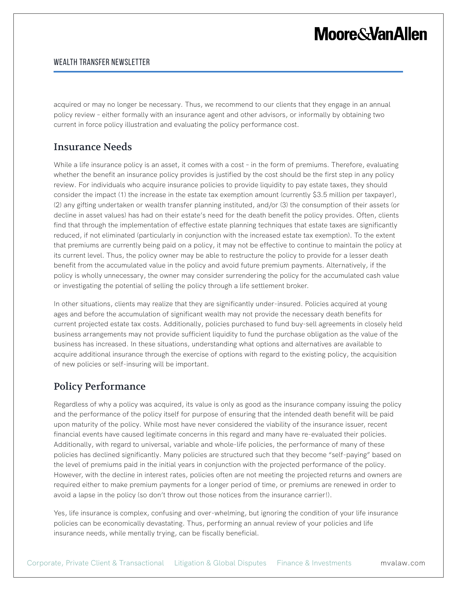# **Moore&VanAllen**

### WEALTH TRANSFER NEWSLETTER

acquired or may no longer be necessary. Thus, we recommend to our clients that they engage in an annual policy review – either formally with an insurance agent and other advisors, or informally by obtaining two current in force policy illustration and evaluating the policy performance cost.

### Insurance Needs

While a life insurance policy is an asset, it comes with a cost - in the form of premiums. Therefore, evaluating whether the benefit an insurance policy provides is justified by the cost should be the first step in any policy review. For individuals who acquire insurance policies to provide liquidity to pay estate taxes, they should consider the impact (1) the increase in the estate tax exemption amount (currently \$3.5 million per taxpayer), (2) any gifting undertaken or wealth transfer planning instituted, and/or (3) the consumption of their assets (or decline in asset values) has had on their estate's need for the death benefit the policy provides. Often, clients find that through the implementation of effective estate planning techniques that estate taxes are significantly reduced, if not eliminated (particularly in conjunction with the increased estate tax exemption). To the extent that premiums are currently being paid on a policy, it may not be effective to continue to maintain the policy at its current level. Thus, the policy owner may be able to restructure the policy to provide for a lesser death benefit from the accumulated value in the policy and avoid future premium payments. Alternatively, if the policy is wholly unnecessary, the owner may consider surrendering the policy for the accumulated cash value or investigating the potential of selling the policy through a life settlement broker.

In other situations, clients may realize that they are significantly under-insured. Policies acquired at young ages and before the accumulation of significant wealth may not provide the necessary death benefits for current projected estate tax costs. Additionally, policies purchased to fund buy-sell agreements in closely held business arrangements may not provide sufficient liquidity to fund the purchase obligation as the value of the business has increased. In these situations, understanding what options and alternatives are available to acquire additional insurance through the exercise of options with regard to the existing policy, the acquisition of new policies or self-insuring will be important.

## Policy Performance

Regardless of why a policy was acquired, its value is only as good as the insurance company issuing the policy and the performance of the policy itself for purpose of ensuring that the intended death benefit will be paid upon maturity of the policy. While most have never considered the viability of the insurance issuer, recent financial events have caused legitimate concerns in this regard and many have re-evaluated their policies. Additionally, with regard to universal, variable and whole-life policies, the performance of many of these policies has declined significantly. Many policies are structured such that they become "self-paying" based on the level of premiums paid in the initial years in conjunction with the projected performance of the policy. However, with the decline in interest rates, policies often are not meeting the projected returns and owners are required either to make premium payments for a longer period of time, or premiums are renewed in order to avoid a lapse in the policy (so don't throw out those notices from the insurance carrier!).

Yes, life insurance is complex, confusing and over-whelming, but ignoring the condition of your life insurance policies can be economically devastating. Thus, performing an annual review of your policies and life insurance needs, while mentally trying, can be fiscally beneficial.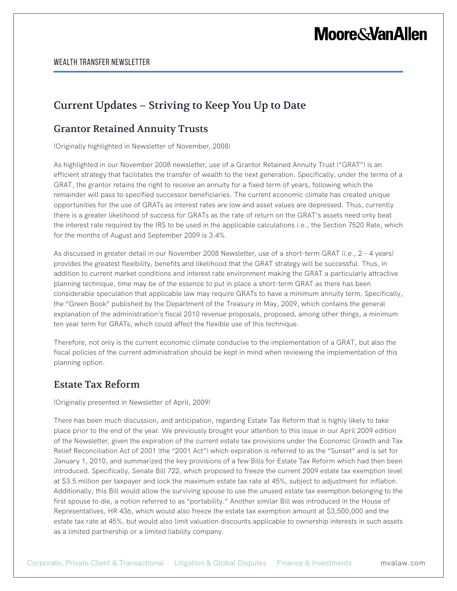# **Moore & Van Allen**

## Current Updates – Striving to Keep You Up to Date

### Grantor Retained Annuity Trusts

(Originally highlighted in Newsletter of November, 2008)

As highlighted in our November 2008 newsletter, use of a Grantor Retained Annuity Trust ("GRAT") is an efficient strategy that facilitates the transfer of wealth to the next generation. Specifically, under the terms of a GRAT, the grantor retains the right to receive an annuity for a fixed term of years, following which the remainder will pass to specified successor beneficiaries. The current economic climate has created unique opportunities for the use of GRATs as interest rates are low and asset values are depressed. Thus, currently there is a greater likelihood of success for GRATs as the rate of return on the GRAT's assets need only beat the interest rate required by the IRS to be used in the applicable calculations i.e., the Section 7520 Rate, which for the months of August and September 2009 is 3.4%.

As discussed in greater detail in our November 2008 Newsletter, use of a short-term GRAT (i.e., 2 – 4 years) provides the greatest flexibility, benefits and likelihood that the GRAT strategy will be successful. Thus, in addition to current market conditions and interest rate environment making the GRAT a particularly attractive planning technique, time may be of the essence to put in place a short-term GRAT as there has been considerable speculation that applicable law may require GRATs to have a minimum annuity term. Specifically, the "Green Book" published by the Department of the Treasury in May, 2009, which contains the general explanation of the administration's fiscal 2010 revenue proposals, proposed, among other things, a minimum ten year term for GRATs, which could affect the flexible use of this technique.

Therefore, not only is the current economic climate conducive to the implementation of a GRAT, but also the fiscal policies of the current administration should be kept in mind when reviewing the implementation of this planning option.

### Estate Tax Reform

(Originally presented in Newsletter of April, 2009)

There has been much discussion, and anticipation, regarding Estate Tax Reform that is highly likely to take place prior to the end of the year. We previously brought your attention to this issue in our April 2009 edition of the Newsletter, given the expiration of the current estate tax provisions under the Economic Growth and Tax Relief Reconciliation Act of 2001 (the "2001 Act") which expiration is referred to as the "Sunset" and is set for January 1, 2010, and summarized the key provisions of a few Bills for Estate Tax Reform which had then been introduced. Specifically, Senate Bill 722, which proposed to freeze the current 2009 estate tax exemption level at \$3.5 million per taxpayer and lock the maximum estate tax rate at 45%, subject to adjustment for inflation. Additionally, this Bill would allow the surviving spouse to use the unused estate tax exemption belonging to the first spouse to die, a notion referred to as "portability." Another similar Bill was introduced in the House of Representatives, HR 436, which would also freeze the estate tax exemption amount at \$3,500,000 and the estate tax rate at 45%, but would also limit valuation discounts applicable to ownership interests in such assets as a limited partnership or a limited liability company.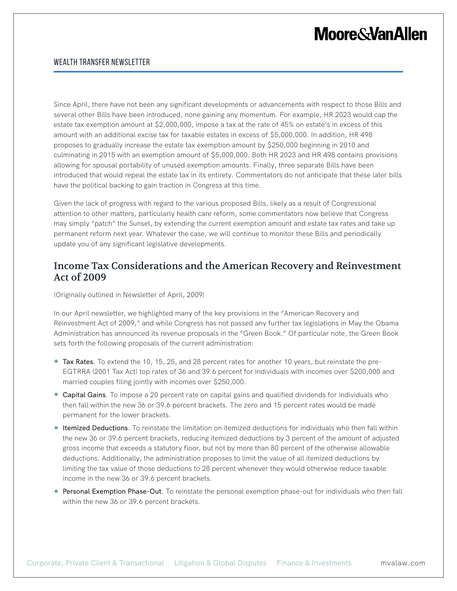# **Moore&VanAllen**

#### WEALTH TRANSFER NEWSLETTER

Since April, there have not been any significant developments or advancements with respect to those Bills and several other Bills have been introduced, none gaining any momentum. For example, HR 2023 would cap the estate tax exemption amount at \$2,000,000, impose a tax at the rate of 45% on estate's in excess of this amount with an additional excise tax for taxable estates in excess of \$5,000,000. In addition, HR 498 proposes to gradually increase the estate tax exemption amount by \$250,000 beginning in 2010 and culminating in 2015 with an exemption amount of \$5,000,000. Both HR 2023 and HR 498 contains provisions allowing for spousal portability of unused exemption amounts. Finally, three separate Bills have been introduced that would repeal the estate tax in its entirety. Commentators do not anticipate that these later bills have the political backing to gain traction in Congress at this time.

Given the lack of progress with regard to the various proposed Bills, likely as a result of Congressional attention to other matters, particularly health care reform, some commentators now believe that Congress may simply "patch" the Sunset, by extending the current exemption amount and estate tax rates and take up permanent reform next year. Whatever the case, we will continue to monitor these Bills and periodically update you of any significant legislative developments.

### Income Tax Considerations and the American Recovery and Reinvestment Act of 2009

(Originally outlined in Newsletter of April, 2009)

In our April newsletter, we highlighted many of the key provisions in the "American Recovery and Reinvestment Act of 2009," and while Congress has not passed any further tax legislations in May the Obama Administration has announced its revenue proposals in the "Green Book." Of particular note, the Green Book sets forth the following proposals of the current administration:

- **Tax Rates**. To extend the 10, 15, 25, and 28 percent rates for another 10 years, but reinstate the pre-EGTRRA (2001 Tax Act) top rates of 36 and 39.6 percent for individuals with incomes over \$200,000 and married couples filing jointly with incomes over \$250,000.
- Capital Gains. To impose a 20 percent rate on capital gains and qualified dividends for individuals who then fall within the new 36 or 39.6 percent brackets. The zero and 15 percent rates would be made permanent for the lower brackets.
- Itemized Deductions. To reinstate the limitation on itemized deductions for individuals who then fall within the new 36 or 39.6 percent brackets, reducing itemized deductions by 3 percent of the amount of adjusted gross income that exceeds a statutory floor, but not by more than 80 percent of the otherwise allowable deductions. Additionally, the administration proposes to limit the value of all itemized deductions by limiting the tax value of those deductions to 28 percent whenever they would otherwise reduce taxable income in the new 36 or 39.6 percent brackets.
- Personal Exemption Phase-Out. To reinstate the personal exemption phase-out for individuals who then fall within the new 36 or 39.6 percent brackets.